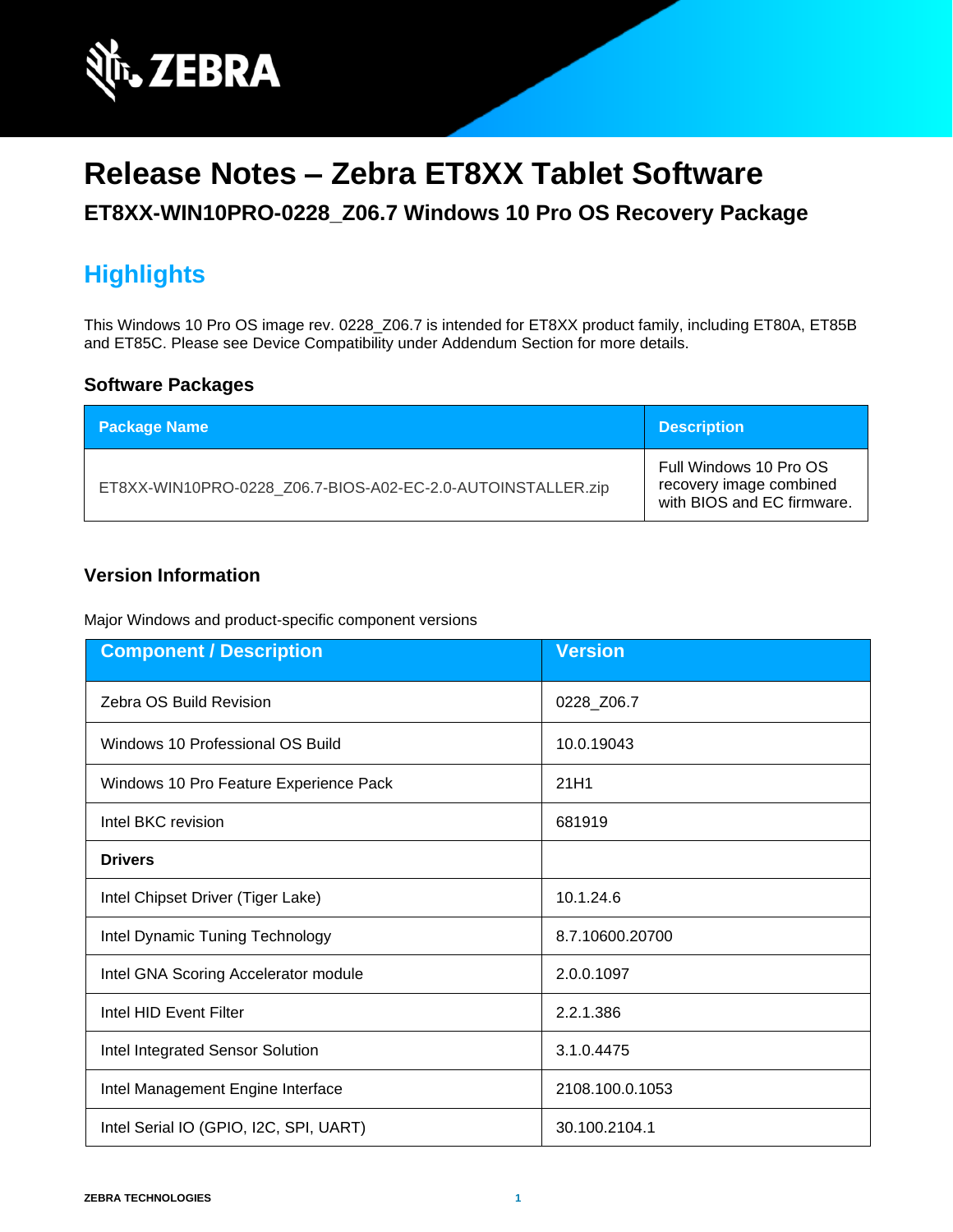

# **Release Notes – Zebra ET8XX Tablet Software**

#### **ET8XX-WIN10PRO-0228\_Z06.7 Windows 10 Pro OS Recovery Package**

# **Highlights**

This Windows 10 Pro OS image rev. 0228\_Z06.7 is intended for ET8XX product family, including ET80A, ET85B and ET85C. Please see Device Compatibility under Addendum Section for more details.

#### **Software Packages**

| <b>Package Name</b>                                         | <b>Description</b>                                                              |
|-------------------------------------------------------------|---------------------------------------------------------------------------------|
| ET8XX-WIN10PRO-0228 Z06.7-BIOS-A02-EC-2.0-AUTOINSTALLER.zip | Full Windows 10 Pro OS<br>recovery image combined<br>with BIOS and EC firmware. |

#### **Version Information**

Major Windows and product-specific component versions

| <b>Component / Description</b>         | <b>Version</b>  |
|----------------------------------------|-----------------|
| Zebra OS Build Revision                | 0228_Z06.7      |
| Windows 10 Professional OS Build       | 10.0.19043      |
| Windows 10 Pro Feature Experience Pack | 21H1            |
| Intel BKC revision                     | 681919          |
| <b>Drivers</b>                         |                 |
| Intel Chipset Driver (Tiger Lake)      | 10.1.24.6       |
| Intel Dynamic Tuning Technology        | 8.7.10600.20700 |
| Intel GNA Scoring Accelerator module   | 2.0.0.1097      |
| Intel HID Event Filter                 | 2.2.1.386       |
| Intel Integrated Sensor Solution       | 3.1.0.4475      |
| Intel Management Engine Interface      | 2108.100.0.1053 |
| Intel Serial IO (GPIO, I2C, SPI, UART) | 30.100.2104.1   |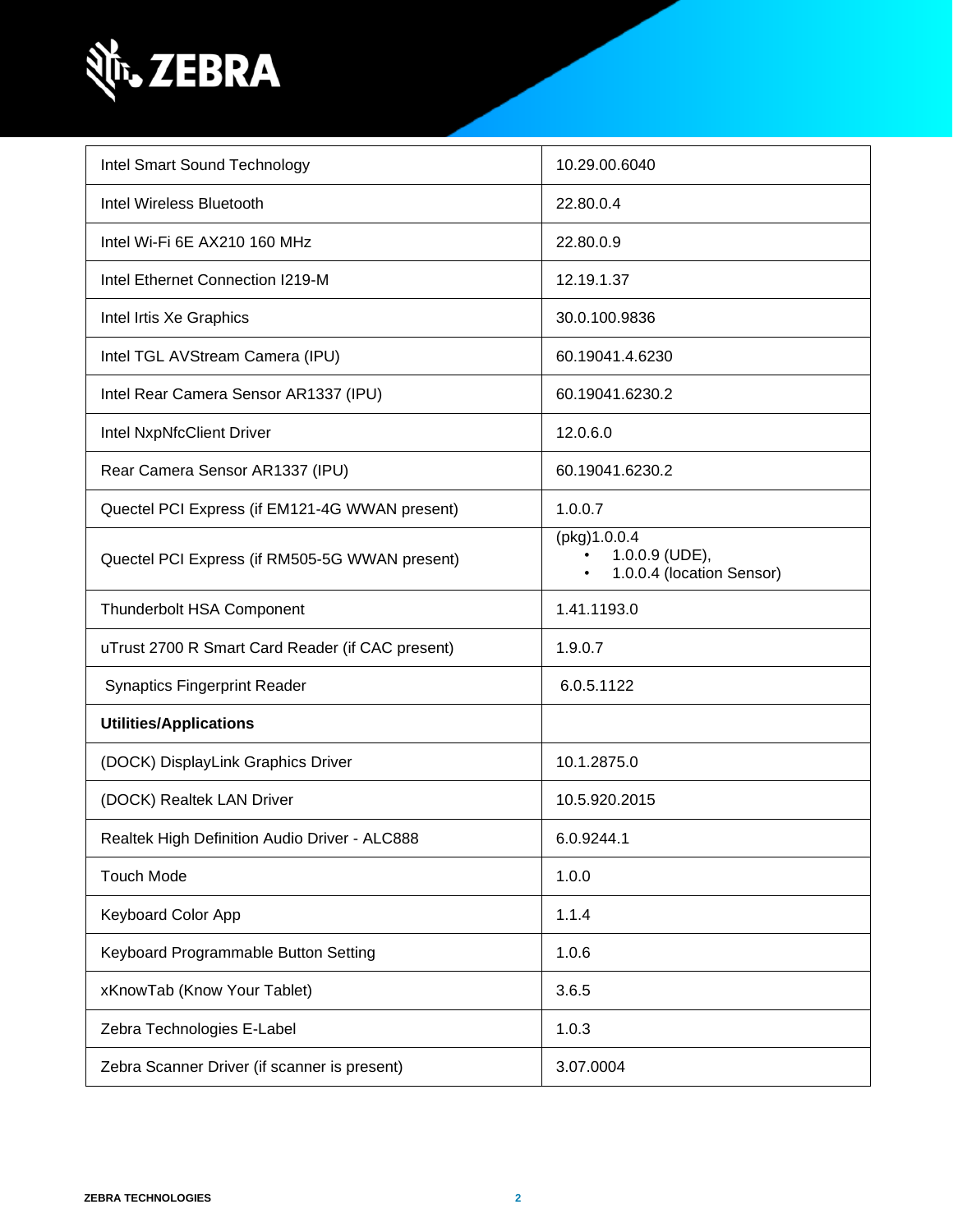

| Intel Smart Sound Technology                     | 10.29.00.6040                                                            |
|--------------------------------------------------|--------------------------------------------------------------------------|
| Intel Wireless Bluetooth                         | 22.80.0.4                                                                |
| Intel Wi-Fi 6E AX210 160 MHz                     | 22.80.0.9                                                                |
| Intel Ethernet Connection I219-M                 | 12.19.1.37                                                               |
| Intel Irtis Xe Graphics                          | 30.0.100.9836                                                            |
| Intel TGL AVStream Camera (IPU)                  | 60.19041.4.6230                                                          |
| Intel Rear Camera Sensor AR1337 (IPU)            | 60.19041.6230.2                                                          |
| Intel NxpNfcClient Driver                        | 12.0.6.0                                                                 |
| Rear Camera Sensor AR1337 (IPU)                  | 60.19041.6230.2                                                          |
| Quectel PCI Express (if EM121-4G WWAN present)   | 1.0.0.7                                                                  |
| Quectel PCI Express (if RM505-5G WWAN present)   | (pkg)1.0.0.4<br>1.0.0.9 (UDE),<br>1.0.0.4 (location Sensor)<br>$\bullet$ |
| <b>Thunderbolt HSA Component</b>                 | 1.41.1193.0                                                              |
| uTrust 2700 R Smart Card Reader (if CAC present) | 1.9.0.7                                                                  |
| <b>Synaptics Fingerprint Reader</b>              | 6.0.5.1122                                                               |
| <b>Utilities/Applications</b>                    |                                                                          |
| (DOCK) DisplayLink Graphics Driver               | 10.1.2875.0                                                              |
| (DOCK) Realtek LAN Driver                        | 10.5.920.2015                                                            |
| Realtek High Definition Audio Driver - ALC888    | 6.0.9244.1                                                               |
| <b>Touch Mode</b>                                | 1.0.0                                                                    |
| <b>Keyboard Color App</b>                        | 1.1.4                                                                    |
| Keyboard Programmable Button Setting             | 1.0.6                                                                    |
| xKnowTab (Know Your Tablet)                      | 3.6.5                                                                    |
| Zebra Technologies E-Label                       | 1.0.3                                                                    |
| Zebra Scanner Driver (if scanner is present)     | 3.07.0004                                                                |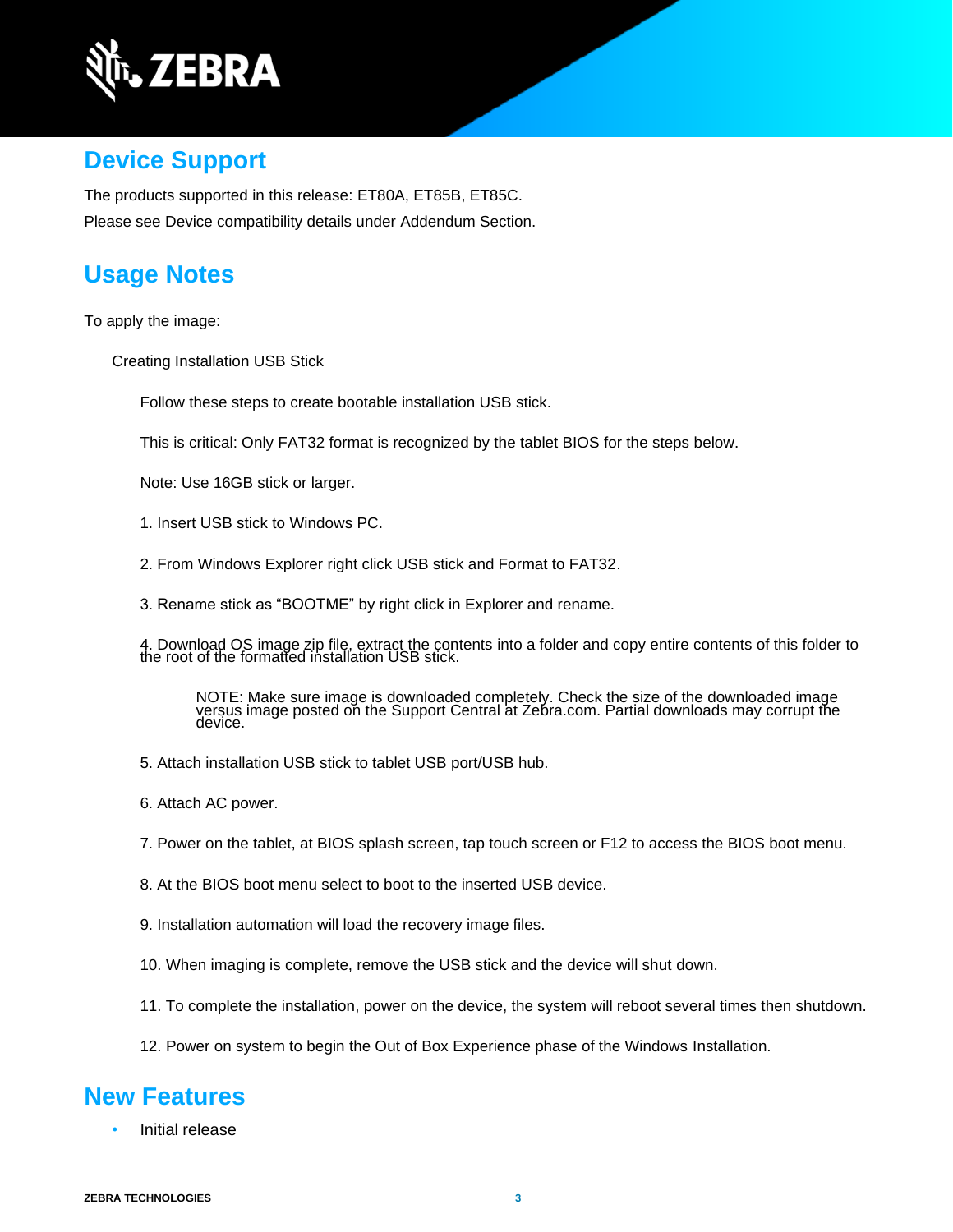

#### **Device Support**

The products supported in this release: ET80A, ET85B, ET85C. Please see Device compatibility details under Addendum Section.

### **Usage Notes**

To apply the image:

Creating Installation USB Stick

Follow these steps to create bootable installation USB stick.

This is critical: Only FAT32 format is recognized by the tablet BIOS for the steps below.

Note: Use 16GB stick or larger.

1. Insert USB stick to Windows PC.

2. From Windows Explorer right click USB stick and Format to FAT32.

3. Rename stick as "BOOTME" by right click in Explorer and rename.

4. Download OS image zip file, extract the contents into a folder and copy entire contents of this folder to the root of the formatted installation USB stick.

NOTE: Make sure image is downloaded completely. Check the size of the downloaded image versus image posted on the Support Central at Zebra.com. Partial downloads may corrupt the device.

- 5. Attach installation USB stick to tablet USB port/USB hub.
- 6. Attach AC power.

7. Power on the tablet, at BIOS splash screen, tap touch screen or F12 to access the BIOS boot menu.

8. At the BIOS boot menu select to boot to the inserted USB device.

- 9. Installation automation will load the recovery image files.
- 10. When imaging is complete, remove the USB stick and the device will shut down.
- 11. To complete the installation, power on the device, the system will reboot several times then shutdown.
- 12. Power on system to begin the Out of Box Experience phase of the Windows Installation.

### **New Features**

Initial release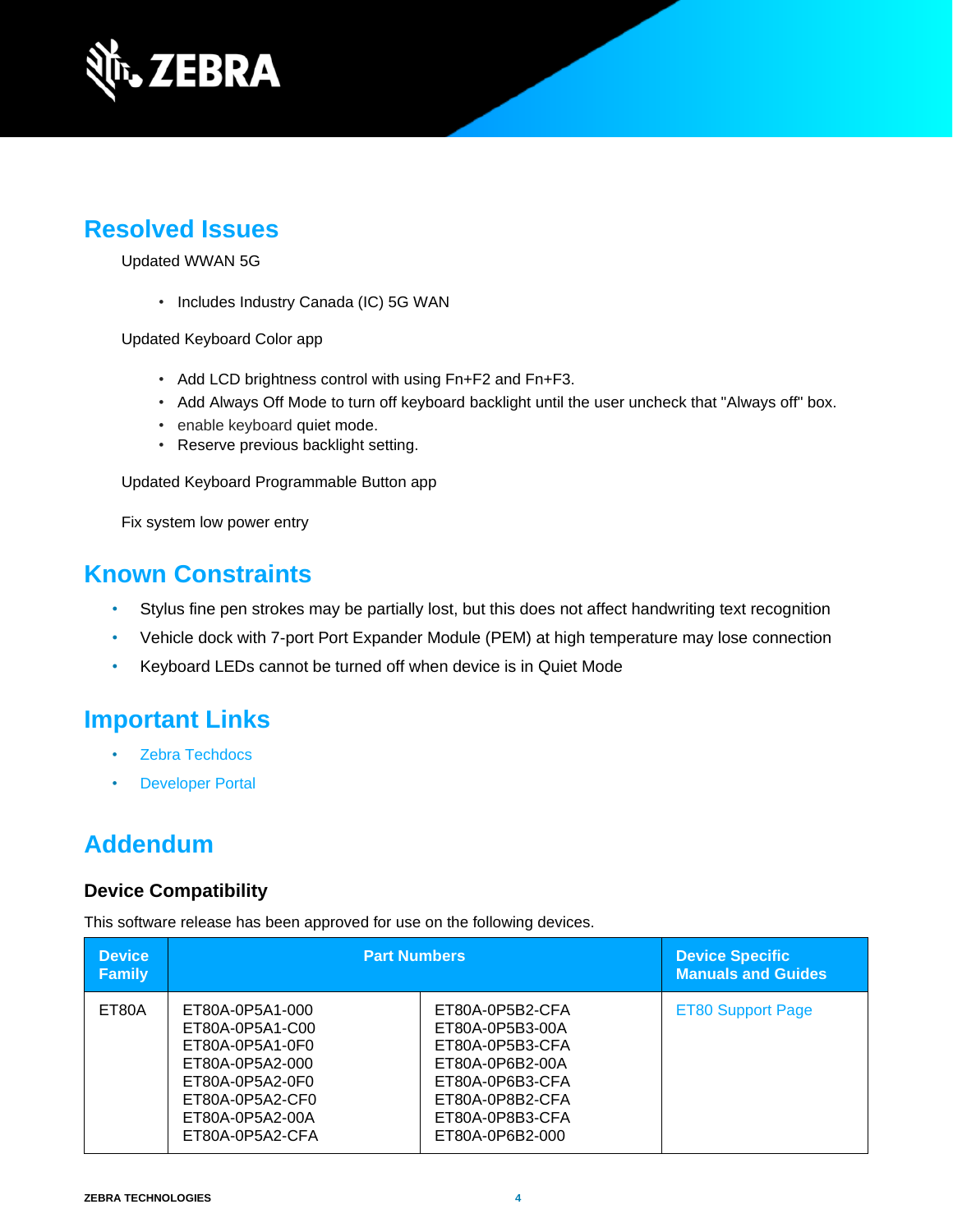

# **Resolved Issues**

Updated WWAN 5G

• Includes Industry Canada (IC) 5G WAN

Updated Keyboard Color app

- Add LCD brightness control with using Fn+F2 and Fn+F3.
- Add Always Off Mode to turn off keyboard backlight until the user uncheck that "Always off" box.
- enable keyboard quiet mode.
- Reserve previous backlight setting.

Updated Keyboard Programmable Button app

Fix system low power entry

## **Known Constraints**

- Stylus fine pen strokes may be partially lost, but this does not affect handwriting text recognition
- Vehicle dock with 7-port Port Expander Module (PEM) at high temperature may lose connection
- Keyboard LEDs cannot be turned off when device is in Quiet Mode

# **Important Links**

- [Zebra Techdocs](http://techdocs.zebra.com/)
- **[Developer Portal](http://developer.zebra.com/)**

# **Addendum**

#### **Device Compatibility**

This software release has been approved for use on the following devices.

| <b>Device</b><br><b>Family</b> | <b>Part Numbers</b>                                                                                                                                  |                                                                                                                                                      | <b>Device Specific</b><br><b>Manuals and Guides</b> |
|--------------------------------|------------------------------------------------------------------------------------------------------------------------------------------------------|------------------------------------------------------------------------------------------------------------------------------------------------------|-----------------------------------------------------|
| ET80A                          | ET80A-0P5A1-000<br>ET80A-0P5A1-C00<br>ET80A-0P5A1-0F0<br>ET80A-0P5A2-000<br>ET80A-0P5A2-0F0<br>ET80A-0P5A2-CF0<br>ET80A-0P5A2-00A<br>ET80A-0P5A2-CFA | ET80A-0P5B2-CFA<br>ET80A-0P5B3-00A<br>ET80A-0P5B3-CFA<br>ET80A-0P6B2-00A<br>ET80A-0P6B3-CFA<br>ET80A-0P8B2-CFA<br>ET80A-0P8B3-CFA<br>ET80A-0P6B2-000 | <b>ET80 Support Page</b>                            |